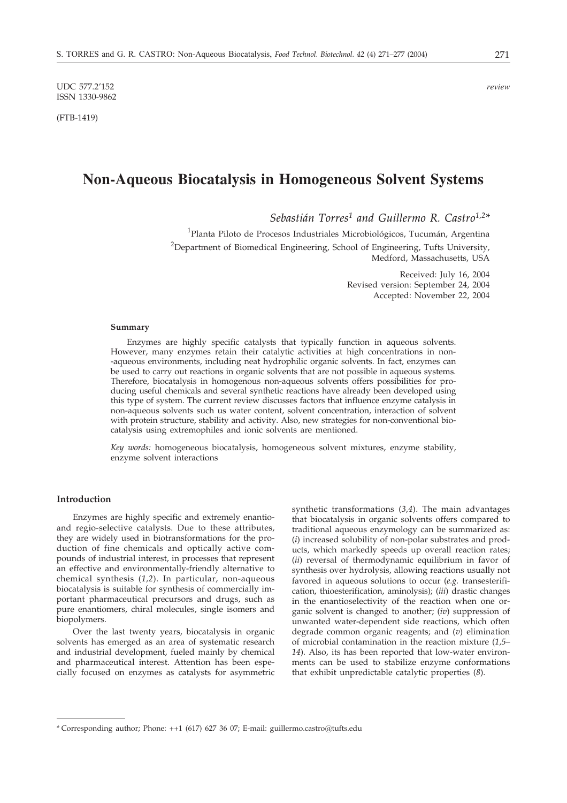UDC 577.2'152 *review* ISSN 1330-9862

(FTB-1419)

# **Non-Aqueous Biocatalysis in Homogeneous Solvent Systems**

*Sebastián Torres1 and Guillermo R. Castro1,2\**

<sup>1</sup>Planta Piloto de Procesos Industriales Microbiológicos, Tucumán, Argentina <sup>2</sup>Department of Biomedical Engineering, School of Engineering, Tufts University, Medford, Massachusetts, USA

> Received: July 16, 2004 Revised version: September 24, 2004 Accepted: November 22, 2004

### **Summary**

Enzymes are highly specific catalysts that typically function in aqueous solvents. However, many enzymes retain their catalytic activities at high concentrations in non- -aqueous environments, including neat hydrophilic organic solvents. In fact, enzymes can be used to carry out reactions in organic solvents that are not possible in aqueous systems. Therefore, biocatalysis in homogenous non-aqueous solvents offers possibilities for producing useful chemicals and several synthetic reactions have already been developed using this type of system. The current review discusses factors that influence enzyme catalysis in non-aqueous solvents such us water content, solvent concentration, interaction of solvent with protein structure, stability and activity. Also, new strategies for non-conventional biocatalysis using extremophiles and ionic solvents are mentioned.

*Key words:* homogeneous biocatalysis, homogeneous solvent mixtures, enzyme stability, enzyme solvent interactions

## **Introduction**

Enzymes are highly specific and extremely enantioand regio-selective catalysts. Due to these attributes, they are widely used in biotransformations for the production of fine chemicals and optically active compounds of industrial interest, in processes that represent an effective and environmentally-friendly alternative to chemical synthesis (*1,2*). In particular, non-aqueous biocatalysis is suitable for synthesis of commercially important pharmaceutical precursors and drugs, such as pure enantiomers, chiral molecules, single isomers and biopolymers.

Over the last twenty years, biocatalysis in organic solvents has emerged as an area of systematic research and industrial development, fueled mainly by chemical and pharmaceutical interest. Attention has been especially focused on enzymes as catalysts for asymmetric synthetic transformations (*3,4*). The main advantages that biocatalysis in organic solvents offers compared to traditional aqueous enzymology can be summarized as: (*i*) increased solubility of non-polar substrates and products, which markedly speeds up overall reaction rates; (*ii*) reversal of thermodynamic equilibrium in favor of synthesis over hydrolysis, allowing reactions usually not favored in aqueous solutions to occur (*e.g.* transesterification, thioesterification, aminolysis); (*iii*) drastic changes in the enantioselectivity of the reaction when one organic solvent is changed to another; (*iv*) suppression of unwanted water-dependent side reactions, which often degrade common organic reagents; and (*v*) elimination of microbial contamination in the reaction mixture (*1,5– 14*). Also, its has been reported that low-water environments can be used to stabilize enzyme conformations that exhibit unpredictable catalytic properties (*8*).

<sup>\*</sup> Corresponding author; Phone: ++1 (617) 627 36 07; E-mail: guillermo.castro@tufts.edu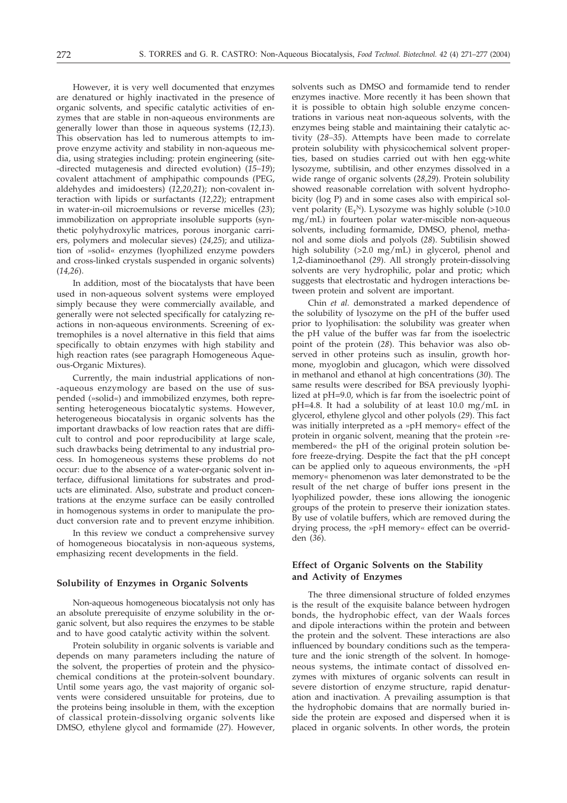However, it is very well documented that enzymes are denatured or highly inactivated in the presence of organic solvents, and specific catalytic activities of enzymes that are stable in non-aqueous environments are generally lower than those in aqueous systems (*12,13*). This observation has led to numerous attempts to improve enzyme activity and stability in non-aqueous media, using strategies including: protein engineering (site- -directed mutagenesis and directed evolution) (*15–19*); covalent attachment of amphipathic compounds (PEG, aldehydes and imidoesters) (*12,20,21*); non-covalent interaction with lipids or surfactants (*12,22*); entrapment in water-in-oil microemulsions or reverse micelles (*23*); immobilization on appropriate insoluble supports (synthetic polyhydroxylic matrices, porous inorganic carriers, polymers and molecular sieves) (*24,25*); and utilization of »solid« enzymes (lyophilized enzyme powders and cross-linked crystals suspended in organic solvents) (*14,26*).

In addition, most of the biocatalysts that have been used in non-aqueous solvent systems were employed simply because they were commercially available, and generally were not selected specifically for catalyzing reactions in non-aqueous environments. Screening of extremophiles is a novel alternative in this field that aims specifically to obtain enzymes with high stability and high reaction rates (see paragraph Homogeneous Aqueous-Organic Mixtures).

Currently, the main industrial applications of non- -aqueous enzymology are based on the use of suspended (»solid«) and immobilized enzymes, both representing heterogeneous biocatalytic systems. However, heterogeneous biocatalysis in organic solvents has the important drawbacks of low reaction rates that are difficult to control and poor reproducibility at large scale, such drawbacks being detrimental to any industrial process. In homogeneous systems these problems do not occur: due to the absence of a water-organic solvent interface, diffusional limitations for substrates and products are eliminated. Also, substrate and product concentrations at the enzyme surface can be easily controlled in homogenous systems in order to manipulate the product conversion rate and to prevent enzyme inhibition.

In this review we conduct a comprehensive survey of homogeneous biocatalysis in non-aqueous systems, emphasizing recent developments in the field.

## **Solubility of Enzymes in Organic Solvents**

Non-aqueous homogeneous biocatalysis not only has an absolute prerequisite of enzyme solubility in the organic solvent, but also requires the enzymes to be stable and to have good catalytic activity within the solvent.

Protein solubility in organic solvents is variable and depends on many parameters including the nature of the solvent, the properties of protein and the physicochemical conditions at the protein-solvent boundary. Until some years ago, the vast majority of organic solvents were considered unsuitable for proteins, due to the proteins being insoluble in them, with the exception of classical protein-dissolving organic solvents like DMSO, ethylene glycol and formamide (*27*). However,

solvents such as DMSO and formamide tend to render enzymes inactive. More recently it has been shown that it is possible to obtain high soluble enzyme concentrations in various neat non-aqueous solvents, with the enzymes being stable and maintaining their catalytic activity (*28–35*). Attempts have been made to correlate protein solubility with physicochemical solvent properties, based on studies carried out with hen egg-white lysozyme, subtilisin, and other enzymes dissolved in a wide range of organic solvents (*28,29*). Protein solubility showed reasonable correlation with solvent hydrophobicity (log P) and in some cases also with empirical solvent polarity ( $E_T^N$ ). Lysozyme was highly soluble (>10.0 mg/mL) in fourteen polar water-miscible non-aqueous solvents, including formamide, DMSO, phenol, methanol and some diols and polyols (*28*). Subtilisin showed high solubility (>2.0 mg/mL) in glycerol, phenol and 1,2-diaminoethanol (*29*). All strongly protein-dissolving solvents are very hydrophilic, polar and protic; which suggests that electrostatic and hydrogen interactions between protein and solvent are important.

Chin *et al.* demonstrated a marked dependence of the solubility of lysozyme on the pH of the buffer used prior to lyophilisation: the solubility was greater when the pH value of the buffer was far from the isoelectric point of the protein (*28*). This behavior was also observed in other proteins such as insulin, growth hormone, myoglobin and glucagon, which were dissolved in methanol and ethanol at high concentrations (*30*). The same results were described for BSA previously lyophilized at pH=9.0, which is far from the isoelectric point of pH=4.8. It had a solubility of at least 10.0 mg/mL in glycerol, ethylene glycol and other polyols (*29*). This fact was initially interpreted as a »pH memory« effect of the protein in organic solvent, meaning that the protein »remembered« the pH of the original protein solution before freeze-drying. Despite the fact that the pH concept can be applied only to aqueous environments, the »pH memory« phenomenon was later demonstrated to be the result of the net charge of buffer ions present in the lyophilized powder, these ions allowing the ionogenic groups of the protein to preserve their ionization states. By use of volatile buffers, which are removed during the drying process, the »pH memory« effect can be overridden (*36*).

# **Effect of Organic Solvents on the Stability and Activity of Enzymes**

The three dimensional structure of folded enzymes is the result of the exquisite balance between hydrogen bonds, the hydrophobic effect, van der Waals forces and dipole interactions within the protein and between the protein and the solvent. These interactions are also influenced by boundary conditions such as the temperature and the ionic strength of the solvent. In homogeneous systems, the intimate contact of dissolved enzymes with mixtures of organic solvents can result in severe distortion of enzyme structure, rapid denaturation and inactivation. A prevailing assumption is that the hydrophobic domains that are normally buried inside the protein are exposed and dispersed when it is placed in organic solvents. In other words, the protein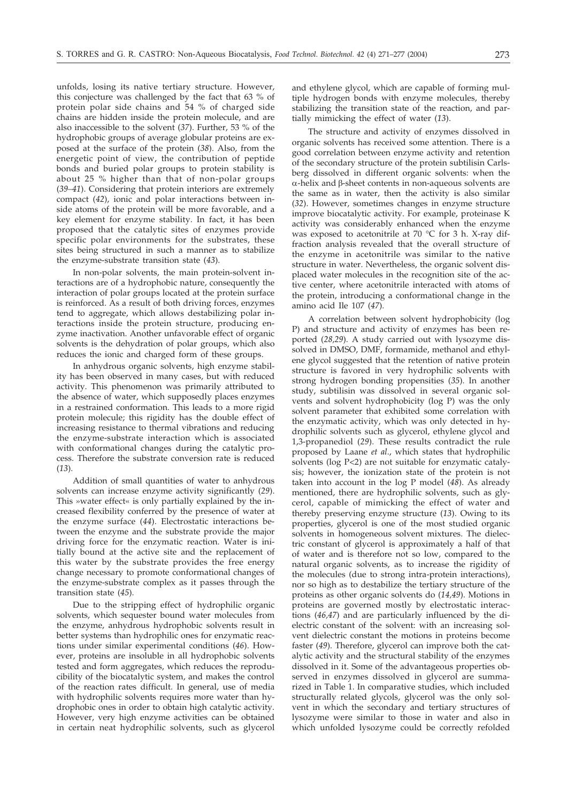unfolds, losing its native tertiary structure. However, this conjecture was challenged by the fact that 63 % of protein polar side chains and 54 % of charged side chains are hidden inside the protein molecule, and are also inaccessible to the solvent (*37*). Further, 53 % of the hydrophobic groups of average globular proteins are exposed at the surface of the protein (*38*). Also, from the energetic point of view, the contribution of peptide bonds and buried polar groups to protein stability is about 25 % higher than that of non-polar groups (*39–41*). Considering that protein interiors are extremely compact (*42*), ionic and polar interactions between inside atoms of the protein will be more favorable, and a key element for enzyme stability. In fact, it has been proposed that the catalytic sites of enzymes provide specific polar environments for the substrates, these sites being structured in such a manner as to stabilize the enzyme-substrate transition state (*43*).

In non-polar solvents, the main protein-solvent interactions are of a hydrophobic nature, consequently the interaction of polar groups located at the protein surface is reinforced. As a result of both driving forces, enzymes tend to aggregate, which allows destabilizing polar interactions inside the protein structure, producing enzyme inactivation. Another unfavorable effect of organic solvents is the dehydration of polar groups, which also reduces the ionic and charged form of these groups.

In anhydrous organic solvents, high enzyme stability has been observed in many cases, but with reduced activity. This phenomenon was primarily attributed to the absence of water, which supposedly places enzymes in a restrained conformation. This leads to a more rigid protein molecule; this rigidity has the double effect of increasing resistance to thermal vibrations and reducing the enzyme-substrate interaction which is associated with conformational changes during the catalytic process. Therefore the substrate conversion rate is reduced (*13*).

Addition of small quantities of water to anhydrous solvents can increase enzyme activity significantly (*29*). This »water effect« is only partially explained by the increased flexibility conferred by the presence of water at the enzyme surface (*44*). Electrostatic interactions between the enzyme and the substrate provide the major driving force for the enzymatic reaction. Water is initially bound at the active site and the replacement of this water by the substrate provides the free energy change necessary to promote conformational changes of the enzyme-substrate complex as it passes through the transition state (*45*).

Due to the stripping effect of hydrophilic organic solvents, which sequester bound water molecules from the enzyme, anhydrous hydrophobic solvents result in better systems than hydrophilic ones for enzymatic reactions under similar experimental conditions (*46*). However, proteins are insoluble in all hydrophobic solvents tested and form aggregates, which reduces the reproducibility of the biocatalytic system, and makes the control of the reaction rates difficult. In general, use of media with hydrophilic solvents requires more water than hydrophobic ones in order to obtain high catalytic activity. However, very high enzyme activities can be obtained in certain neat hydrophilic solvents, such as glycerol and ethylene glycol, which are capable of forming multiple hydrogen bonds with enzyme molecules, thereby stabilizing the transition state of the reaction, and partially mimicking the effect of water (*13*).

The structure and activity of enzymes dissolved in organic solvents has received some attention. There is a good correlation between enzyme activity and retention of the secondary structure of the protein subtilisin Carlsberg dissolved in different organic solvents: when the  $\alpha$ -helix and  $\beta$ -sheet contents in non-aqueous solvents are the same as in water, then the activity is also similar (*32*). However, sometimes changes in enzyme structure improve biocatalytic activity. For example, proteinase K activity was considerably enhanced when the enzyme was exposed to acetonitrile at 70 °C for 3 h. X-ray diffraction analysis revealed that the overall structure of the enzyme in acetonitrile was similar to the native structure in water. Nevertheless, the organic solvent displaced water molecules in the recognition site of the active center, where acetonitrile interacted with atoms of the protein, introducing a conformational change in the amino acid Ile 107 (*47*).

A correlation between solvent hydrophobicity (log P) and structure and activity of enzymes has been reported (*28,29*). A study carried out with lysozyme dissolved in DMSO, DMF, formamide, methanol and ethylene glycol suggested that the retention of native protein structure is favored in very hydrophilic solvents with strong hydrogen bonding propensities (*35*). In another study, subtilisin was dissolved in several organic solvents and solvent hydrophobicity (log P) was the only solvent parameter that exhibited some correlation with the enzymatic activity, which was only detected in hydrophilic solvents such as glycerol, ethylene glycol and 1,3-propanediol (*29*). These results contradict the rule proposed by Laane *et al*., which states that hydrophilic solvents (log P<2) are not suitable for enzymatic catalysis; however, the ionization state of the protein is not taken into account in the log P model (*48*). As already mentioned, there are hydrophilic solvents, such as glycerol, capable of mimicking the effect of water and thereby preserving enzyme structure (*13*). Owing to its properties, glycerol is one of the most studied organic solvents in homogeneous solvent mixtures. The dielectric constant of glycerol is approximately a half of that of water and is therefore not so low, compared to the natural organic solvents, as to increase the rigidity of the molecules (due to strong intra-protein interactions), nor so high as to destabilize the tertiary structure of the proteins as other organic solvents do (*14,49*). Motions in proteins are governed mostly by electrostatic interactions (*46,47*) and are particularly influenced by the dielectric constant of the solvent: with an increasing solvent dielectric constant the motions in proteins become faster (*49*). Therefore, glycerol can improve both the catalytic activity and the structural stability of the enzymes dissolved in it. Some of the advantageous properties observed in enzymes dissolved in glycerol are summarized in Table 1. In comparative studies, which included structurally related glycols, glycerol was the only solvent in which the secondary and tertiary structures of lysozyme were similar to those in water and also in which unfolded lysozyme could be correctly refolded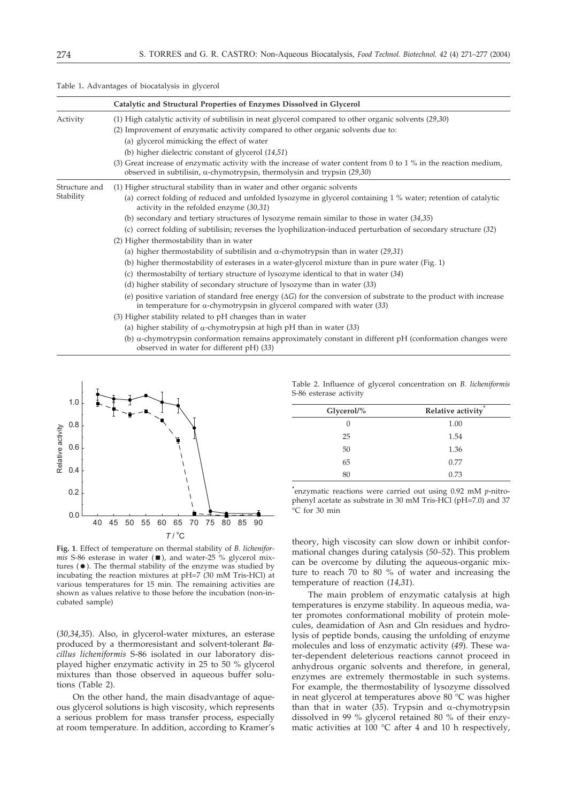| Table 1. Advantages of biocatalysis in glycerol |  |  |
|-------------------------------------------------|--|--|
|-------------------------------------------------|--|--|

|                            | Catalytic and Structural Properties of Enzymes Dissolved in Glycerol                                                                                                                                       |
|----------------------------|------------------------------------------------------------------------------------------------------------------------------------------------------------------------------------------------------------|
| Activity                   | (1) High catalytic activity of subtilisin in neat glycerol compared to other organic solvents $(29,30)$                                                                                                    |
|                            | (2) Improvement of enzymatic activity compared to other organic solvents due to:                                                                                                                           |
|                            | (a) glycerol mimicking the effect of water                                                                                                                                                                 |
|                            | (b) higher dielectric constant of glycerol $(14,51)$                                                                                                                                                       |
|                            | (3) Great increase of enzymatic activity with the increase of water content from 0 to 1 % in the reaction medium,<br>observed in subtilisin, $\alpha$ -chymotrypsin, thermolysin and trypsin (29,30)       |
| Structure and<br>Stability | (1) Higher structural stability than in water and other organic solvents                                                                                                                                   |
|                            | (a) correct folding of reduced and unfolded lysozyme in glycerol containing 1 % water; retention of catalytic<br>activity in the refolded enzyme $(30,31)$                                                 |
|                            | (b) secondary and tertiary structures of lysozyme remain similar to those in water $(34,35)$                                                                                                               |
|                            | (c) correct folding of subtilisin; reverses the lyophilization-induced perturbation of secondary structure (32)                                                                                            |
|                            | (2) Higher thermostability than in water                                                                                                                                                                   |
|                            | (a) higher thermostability of subtilisin and $\alpha$ -chymotrypsin than in water (29,31)                                                                                                                  |
|                            | (b) higher thermostability of esterases in a water-glycerol mixture than in pure water (Fig. 1)                                                                                                            |
|                            | (c) thermostabilty of tertiary structure of lysozyme identical to that in water (34)                                                                                                                       |
|                            | (d) higher stability of secondary structure of lysozyme than in water (33)                                                                                                                                 |
|                            | (e) positive variation of standard free energy $(\Delta G)$ for the conversion of substrate to the product with increase<br>in temperature for $\alpha$ -chymotrypsin in glycerol compared with water (33) |
|                            | (3) Higher stability related to pH changes than in water                                                                                                                                                   |
|                            | (a) higher stability of $\alpha$ -chymotrypsin at high pH than in water (33)                                                                                                                               |
|                            | (b) $\alpha$ -chymotrypsin conformation remains approximately constant in different pH (conformation changes were<br>observed in water for different $pH(33)$                                              |



**Fig. 1**. Effect of temperature on thermal stability of *B. licheniformis* S-86 esterase in water ( $\blacksquare$ ), and water-25 % glycerol mixtures ( $\bullet$ ). The thermal stability of the enzyme was studied by incubating the reaction mixtures at pH=7 (30 mM Tris-HCl) at various temperatures for 15 min. The remaining activities are shown as values relative to those before the incubation (non-incubated sample)

(*30,34,35*). Also, in glycerol-water mixtures, an esterase produced by a thermoresistant and solvent-tolerant *Bacillus licheniformis* S-86 isolated in our laboratory displayed higher enzymatic activity in 25 to 50 % glycerol mixtures than those observed in aqueous buffer solutions (Table 2).

On the other hand, the main disadvantage of aqueous glycerol solutions is high viscosity, which represents a serious problem for mass transfer process, especially at room temperature. In addition, according to Kramer's

Table 2. Influence of glycerol concentration on *B. licheniformis* S-86 esterase activity

| Glycerol/% | Relative activity |
|------------|-------------------|
| $\Omega$   | 1.00              |
| 25         | 1.54              |
| 50         | 1.36              |
| 65         | 0.77              |
| 80         | 0.73              |

**\*** enzymatic reactions were carried out using 0.92 mM *p*-nitrophenyl acetate as substrate in 30 mM Tris-HCl (pH=7.0) and 37 C for 30 min

theory, high viscosity can slow down or inhibit conformational changes during catalysis (*50–52*). This problem can be overcome by diluting the aqueous-organic mixture to reach 70 to 80 % of water and increasing the temperature of reaction (*14,31*).

The main problem of enzymatic catalysis at high temperatures is enzyme stability. In aqueous media, water promotes conformational mobility of protein molecules, deamidation of Asn and Gln residues and hydrolysis of peptide bonds, causing the unfolding of enzyme molecules and loss of enzymatic activity (*49*). These water-dependent deleterious reactions cannot proceed in anhydrous organic solvents and therefore, in general, enzymes are extremely thermostable in such systems. For example, the thermostability of lysozyme dissolved in neat glycerol at temperatures above 80 °C was higher than that in water ( $3\overline{5}$ ). Trypsin and  $\alpha$ -chymotrypsin dissolved in 99 % glycerol retained 80 % of their enzymatic activities at 100 °C after 4 and 10 h respectively,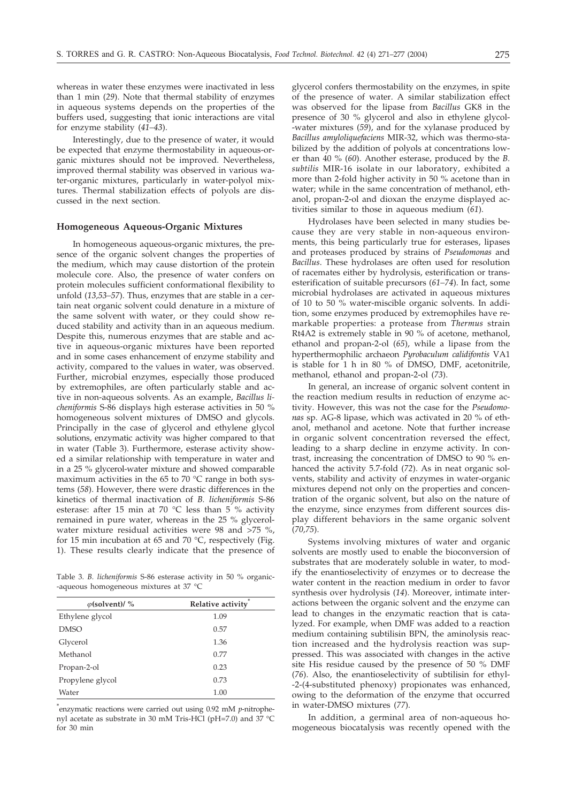whereas in water these enzymes were inactivated in less than 1 min (*29*). Note that thermal stability of enzymes in aqueous systems depends on the properties of the buffers used, suggesting that ionic interactions are vital for enzyme stability (*41–43*).

Interestingly, due to the presence of water, it would be expected that enzyme thermostability in aqueous-organic mixtures should not be improved. Nevertheless, improved thermal stability was observed in various water-organic mixtures, particularly in water-polyol mixtures. Thermal stabilization effects of polyols are discussed in the next section.

## **Homogeneous Aqueous-Organic Mixtures**

In homogeneous aqueous-organic mixtures, the presence of the organic solvent changes the properties of the medium, which may cause distortion of the protein molecule core. Also, the presence of water confers on protein molecules sufficient conformational flexibility to unfold (*13,53–57*). Thus, enzymes that are stable in a certain neat organic solvent could denature in a mixture of the same solvent with water, or they could show reduced stability and activity than in an aqueous medium. Despite this, numerous enzymes that are stable and active in aqueous-organic mixtures have been reported and in some cases enhancement of enzyme stability and activity, compared to the values in water, was observed. Further, microbial enzymes, especially those produced by extremophiles, are often particularly stable and active in non-aqueous solvents. As an example, *Bacillus licheniformis* S-86 displays high esterase activities in 50 % homogeneous solvent mixtures of DMSO and glycols. Principally in the case of glycerol and ethylene glycol solutions, enzymatic activity was higher compared to that in water (Table 3). Furthermore, esterase activity showed a similar relationship with temperature in water and in a 25 % glycerol-water mixture and showed comparable maximum activities in the 65 to 70 °C range in both systems (*58*). However, there were drastic differences in the kinetics of thermal inactivation of *B. licheniformis* S-86 esterase: after 15 min at 70 °C less than 5 % activity remained in pure water, whereas in the 25 % glycerolwater mixture residual activities were 98 and >75 %, for 15 min incubation at 65 and 70 °C, respectively (Fig. 1). These results clearly indicate that the presence of

Table 3. *B. licheniformis* S-86 esterase activity in 50 % organic- -aqueous homogeneous mixtures at 37 °C

| $\varphi$ (solvent)/ % | Relative activity |
|------------------------|-------------------|
| Ethylene glycol        | 1.09              |
| <b>DMSO</b>            | 0.57              |
| Glycerol               | 1.36              |
| Methanol               | 0.77              |
| Propan-2-ol            | 0.23              |
| Propylene glycol       | 0.73              |
| Water                  | 1.00              |

**\*** enzymatic reactions were carried out using 0.92 mM *p*-nitrophenyl acetate as substrate in 30 mM Tris-HCl (pH=7.0) and 37  $^{\circ}$ C for 30 min

glycerol confers thermostability on the enzymes, in spite of the presence of water. A similar stabilization effect was observed for the lipase from *Bacillus* GK8 in the presence of 30 % glycerol and also in ethylene glycol- -water mixtures (*59*), and for the xylanase produced by *Bacillus amyloliquefaciens* MIR-32, which was thermo-stabilized by the addition of polyols at concentrations lower than 40 % (*60*). Another esterase, produced by the *B. subtilis* MIR-16 isolate in our laboratory, exhibited a more than 2-fold higher activity in 50 % acetone than in water; while in the same concentration of methanol, ethanol, propan-2-ol and dioxan the enzyme displayed activities similar to those in aqueous medium (*61*).

Hydrolases have been selected in many studies because they are very stable in non-aqueous environments, this being particularly true for esterases, lipases and proteases produced by strains of *Pseudomonas* and *Bacillus*. These hydrolases are often used for resolution of racemates either by hydrolysis, esterification or transesterification of suitable precursors (*61–74*). In fact, some microbial hydrolases are activated in aqueous mixtures of 10 to 50 % water-miscible organic solvents. In addition, some enzymes produced by extremophiles have remarkable properties: a protease from *Thermus* strain Rt4A2 is extremely stable in 90 % of acetone, methanol, ethanol and propan-2-ol (*65*), while a lipase from the hyperthermophilic archaeon *Pyrobaculum calidifontis* VA1 is stable for 1 h in 80 % of DMSO, DMF, acetonitrile, methanol, ethanol and propan-2-ol (*73*).

In general, an increase of organic solvent content in the reaction medium results in reduction of enzyme activity. However, this was not the case for the *Pseudomonas* sp. AG-8 lipase, which was activated in 20 % of ethanol, methanol and acetone. Note that further increase in organic solvent concentration reversed the effect, leading to a sharp decline in enzyme activity. In contrast, increasing the concentration of DMSO to 90 % enhanced the activity 5.7-fold (*72*). As in neat organic solvents, stability and activity of enzymes in water-organic mixtures depend not only on the properties and concentration of the organic solvent, but also on the nature of the enzyme, since enzymes from different sources display different behaviors in the same organic solvent (*70,75*).

Systems involving mixtures of water and organic solvents are mostly used to enable the bioconversion of substrates that are moderately soluble in water, to modify the enantioselectivity of enzymes or to decrease the water content in the reaction medium in order to favor synthesis over hydrolysis (*14*). Moreover, intimate interactions between the organic solvent and the enzyme can lead to changes in the enzymatic reaction that is catalyzed. For example, when DMF was added to a reaction medium containing subtilisin BPN, the aminolysis reaction increased and the hydrolysis reaction was suppressed. This was associated with changes in the active site His residue caused by the presence of 50 % DMF (*76*). Also, the enantioselectivity of subtilisin for ethyl- -2-(4-substituted phenoxy) propionates was enhanced, owing to the deformation of the enzyme that occurred in water-DMSO mixtures (*77*).

In addition, a germinal area of non-aqueous homogeneous biocatalysis was recently opened with the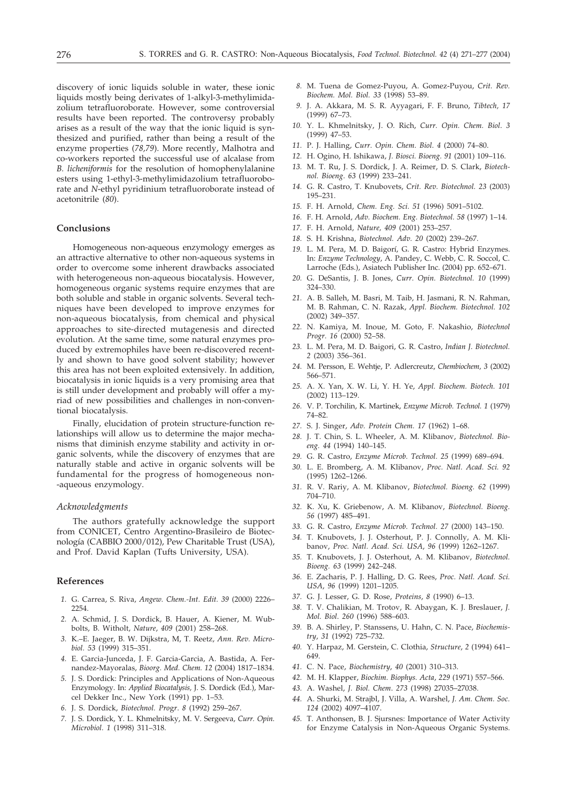discovery of ionic liquids soluble in water, these ionic liquids mostly being derivates of 1-alkyl-3-methylimidazolium tetrafluoroborate. However, some controversial results have been reported. The controversy probably arises as a result of the way that the ionic liquid is synthesized and purified, rather than being a result of the enzyme properties (*78,79*). More recently, Malhotra and co-workers reported the successful use of alcalase from *B. licheniformis* for the resolution of homophenylalanine esters using 1-ethyl-3-methylimidazolium tetrafluoroborate and *N*-ethyl pyridinium tetrafluoroborate instead of acetonitrile (*80*).

# **Conclusions**

Homogeneous non-aqueous enzymology emerges as an attractive alternative to other non-aqueous systems in order to overcome some inherent drawbacks associated with heterogeneous non-aqueous biocatalysis. However, homogeneous organic systems require enzymes that are both soluble and stable in organic solvents. Several techniques have been developed to improve enzymes for non-aqueous biocatalysis, from chemical and physical approaches to site-directed mutagenesis and directed evolution. At the same time, some natural enzymes produced by extremophiles have been re-discovered recently and shown to have good solvent stability; however this area has not been exploited extensively. In addition, biocatalysis in ionic liquids is a very promising area that is still under development and probably will offer a myriad of new possibilities and challenges in non-conventional biocatalysis.

Finally, elucidation of protein structure-function relationships will allow us to determine the major mechanisms that diminish enzyme stability and activity in organic solvents, while the discovery of enzymes that are naturally stable and active in organic solvents will be fundamental for the progress of homogeneous non- -aqueous enzymology.

### *Acknowledgments*

The authors gratefully acknowledge the support from CONICET, Centro Argentino-Brasileiro de Biotecnología (CABBIO 2000/012), Pew Charitable Trust (USA), and Prof. David Kaplan (Tufts University, USA).

## **References**

- *1.* G. Carrea, S. Riva, *Angew. Chem.-Int. Edit. 39* (2000) 2226– 2254.
- *2.* A. Schmid, J. S. Dordick, B. Hauer, A. Kiener, M. Wubbolts, B. Witholt, *Nature*, *409* (2001) 258–268.
- *3.* K.–E. Jaeger, B. W. Dijkstra, M, T. Reetz, *Ann. Rev. Microbiol. 53* (1999) 315–351.
- *4.* E. Garcia-Junceda, J. F. Garcia-Garcia, A. Bastida, A. Fernandez-Mayoralas, *Bioorg. Med. Chem. 12* (2004) 1817–1834.
- *5.* J. S. Dordick: Principles and Applications of Non-Aqueous Enzymology. In: *Applied Biocatalysis,* J. S. Dordick (Ed.), Marcel Dekker Inc., New York (1991) pp. 1–53.
- *6.* J. S. Dordick, *Biotechnol. Pro*g*r*. *8* (1992) 259–267.
- *7.* J. S. Dordick, Y. L. Khmelnitsky, M. V. Sergeeva, *Curr. Opin. Microbiol. 1* (1998) 311–318.
- *8.* M. Tuena de Gomez-Puyou, A. Gomez-Puyou, *Crit. Rev. Biochem. Mol. Biol. 33* (1998) 53–89.
- *9.* J. A. Akkara, M. S. R. Ayyagari, F. F. Bruno, *Tibtech, 17* (1999) 67–73.
- *10.* Y. L. Khmelnitsky, J. O. Rich, *Curr. Opin. Chem. Biol*. *3* (1999) 47–53.
- *11.* P. J. Halling, *Curr. Opin. Chem. Biol*. *4* (2000) 74–80.
- *12.* H. Ogino, H. Ishikawa, *J. Biosci. Bioeng. 91* (2001) 109–116.
- *13.* M. T. Ru, J. S. Dordick, J. A. Reimer, D. S. Clark, *Biotechnol. Bioeng*. *63* (1999) 233–241.
- *14.* G. R. Castro, T. Knubovets, *Crit. Rev. Biotechnol. 23* (2003) 195–231.
- *15.* F. H. Arnold, *Chem. Eng. Sci. 51* (1996) 5091–5102.
- *16.* F. H. Arnold, *Adv. Biochem. Eng. Biotechnol. 58* (1997) 1–14.
- *17.* F. H. Arnold, *Nature, 409* (2001) 253–257.
- *18.* S. H. Krishna, *Biotechnol. Adv. 20* (2002) 239–267.
- *19.* L. M. Pera, M. D. Baigorí, G. R. Castro: Hybrid Enzymes. In: *Enzyme Technology*, A. Pandey, C. Webb, C. R. Soccol, C. Larroche (Eds.), Asiatech Publisher Inc. (2004) pp. 652–671.
- *20.* G. DeSantis, J. B. Jones, *Curr. Opin. Biotechnol. 10* (1999) 324–330.
- *21.* A. B. Salleh, M. Basri, M. Taib, H. Jasmani, R. N. Rahman, M. B. Rahman, C. N. Razak, *Appl. Biochem. Biotechnol. 102* (2002) 349–357.
- *22.* N. Kamiya, M. Inoue, M. Goto, F. Nakashio, *Biotechnol Progr. 16* (2000) 52–58.
- *23.* L. M. Pera, M. D. Baigori, G. R. Castro, *Indian J. Biotechnol. 2* (2003) 356–361.
- *24.* M. Persson, E. Wehtje, P. Adlercreutz, *Chembiochem, 3* (2002) 566–571.
- *25.* A. X. Yan, X. W. Li, Y. H. Ye, *Appl. Biochem. Biotech. 101* (2002) 113–129.
- *26.* V. P. Torchilin, K. Martinek, *Enzyme Microb. Technol. 1* (1979) 74–82.
- *27.* S. J. Singer, *Adv. Protein Chem. 17* (1962) 1–68.
- *28.* J. T. Chin, S. L. Wheeler, A. M. Klibanov, *Biotechnol. Bioeng. 44* (1994) 140–145.
- *29.* G. R. Castro, *Enzyme Microb. Technol. 25* (1999) 689–694.
- *30.* L. E. Bromberg, A. M. Klibanov, *Proc. Natl. Acad. Sci. 92* (1995) 1262–1266.
- *31.* R. V. Rariy, A. M. Klibanov, *Biotechnol. Bioeng. 62* (1999) 704–710.
- *32.* K. Xu, K. Griebenow, A. M. Klibanov, *Biotechnol. Bioeng. 56* (1997) 485–491.
- *33.* G. R. Castro, *Enzyme Microb. Technol. 27* (2000) 143–150.
- *34.* T. Knubovets, J. J. Osterhout, P. J. Connolly, A. M. Klibanov, *Proc. Natl. Acad. Sci. USA*, *96* (1999) 1262–1267.
- *35.* T. Knubovets, J. J. Osterhout, A. M. Klibanov, *Biotechnol. Bioeng. 63* (1999) 242–248.
- *36.* E. Zacharis, P. J. Halling, D. G. Rees, *Proc. Natl. Acad. Sci. USA*, *96* (1999) 1201–1205.
- *37.* G. J. Lesser, G. D. Rose, *Proteins*, *8* (1990) 6–13.
- *38.* T. V. Chalikian, M. Trotov, R. Abaygan, K. J. Breslauer, *J. Mol. Biol*. *260* (1996) 588–603.
- *39.* B. A. Shirley, P. Stanssens, U. Hahn, C. N. Pace, *Biochemistry*, *31* (1992) 725–732.
- *40.* Y. Harpaz, M. Gerstein, C. Clothia, *Structure*, *2* (1994) 641– 649.
- *41.* C. N. Pace, *Biochemistry*, *40* (2001) 310–313.
- *42.* M. H. Klapper, *Biochim. Biophys. Acta*, *229* (1971) 557–566.
- *43.* A. Washel, *J. Biol. Chem*. *273* (1998) 27035–27038.
- *44.* A. Shurki, M. Strajbl, J. Villa, A. Warshel, *J. Am. Chem. Soc. 124* (2002) 4097–4107.
- *45.* T. Anthonsen, B. J. Sjursnes: Importance of Water Activity for Enzyme Catalysis in Non-Aqueous Organic Systems.